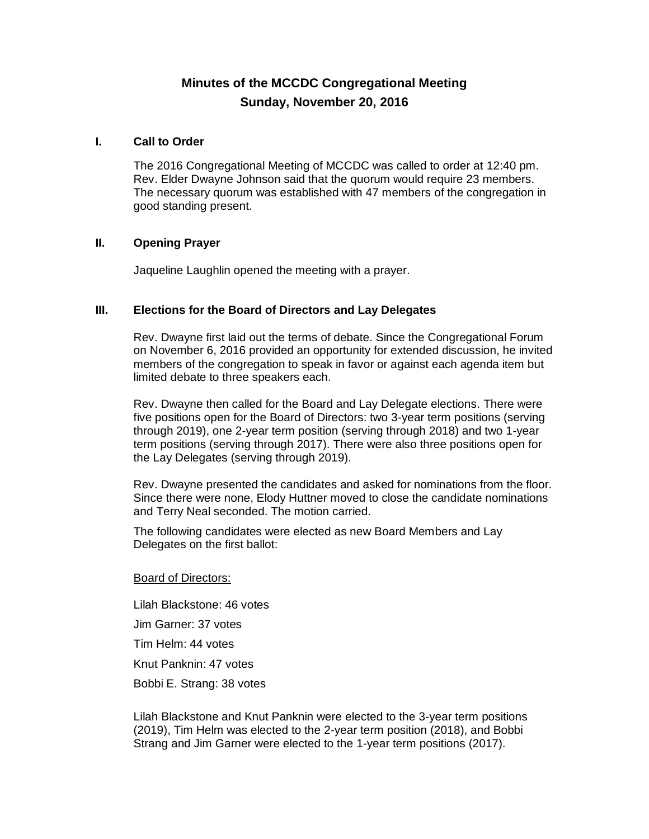# **Minutes of the MCCDC Congregational Meeting Sunday, November 20, 2016**

### **I. Call to Order**

The 2016 Congregational Meeting of MCCDC was called to order at 12:40 pm. Rev. Elder Dwayne Johnson said that the quorum would require 23 members. The necessary quorum was established with 47 members of the congregation in good standing present.

## **II. Opening Prayer**

Jaqueline Laughlin opened the meeting with a prayer.

## **III. Elections for the Board of Directors and Lay Delegates**

Rev. Dwayne first laid out the terms of debate. Since the Congregational Forum on November 6, 2016 provided an opportunity for extended discussion, he invited members of the congregation to speak in favor or against each agenda item but limited debate to three speakers each.

Rev. Dwayne then called for the Board and Lay Delegate elections. There were five positions open for the Board of Directors: two 3-year term positions (serving through 2019), one 2-year term position (serving through 2018) and two 1-year term positions (serving through 2017). There were also three positions open for the Lay Delegates (serving through 2019).

Rev. Dwayne presented the candidates and asked for nominations from the floor. Since there were none, Elody Huttner moved to close the candidate nominations and Terry Neal seconded. The motion carried.

The following candidates were elected as new Board Members and Lay Delegates on the first ballot:

#### Board of Directors:

Lilah Blackstone: 46 votes Jim Garner: 37 votes Tim Helm: 44 votes Knut Panknin: 47 votes Bobbi E. Strang: 38 votes

Lilah Blackstone and Knut Panknin were elected to the 3-year term positions (2019), Tim Helm was elected to the 2-year term position (2018), and Bobbi Strang and Jim Garner were elected to the 1-year term positions (2017).